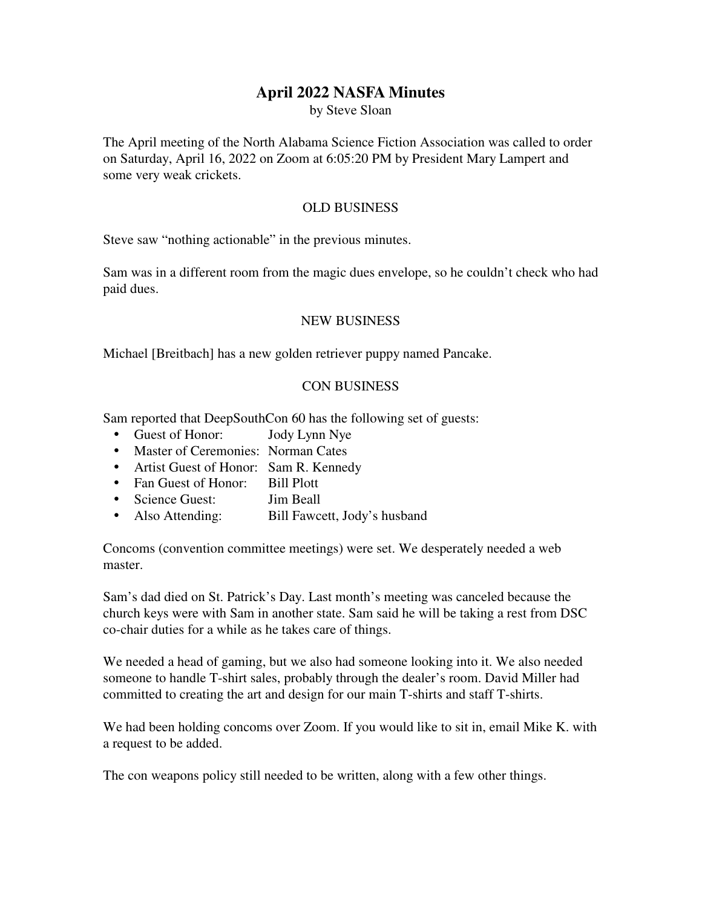## **April 2022 NASFA Minutes**

by Steve Sloan

The April meeting of the North Alabama Science Fiction Association was called to order on Saturday, April 16, 2022 on Zoom at 6:05:20 PM by President Mary Lampert and some very weak crickets.

## OLD BUSINESS

Steve saw "nothing actionable" in the previous minutes.

Sam was in a different room from the magic dues envelope, so he couldn't check who had paid dues.

## NEW BUSINESS

Michael [Breitbach] has a new golden retriever puppy named Pancake.

## CON BUSINESS

Sam reported that DeepSouthCon 60 has the following set of guests:

- Guest of Honor: Jody Lynn Nye
- Master of Ceremonies: Norman Cates
- Artist Guest of Honor: Sam R. Kennedy
- Fan Guest of Honor: Bill Plott
- Science Guest: Jim Beall
- Also Attending: Bill Fawcett, Jody's husband

Concoms (convention committee meetings) were set. We desperately needed a web master.

Sam's dad died on St. Patrick's Day. Last month's meeting was canceled because the church keys were with Sam in another state. Sam said he will be taking a rest from DSC co-chair duties for a while as he takes care of things.

We needed a head of gaming, but we also had someone looking into it. We also needed someone to handle T-shirt sales, probably through the dealer's room. David Miller had committed to creating the art and design for our main T-shirts and staff T-shirts.

We had been holding concoms over Zoom. If you would like to sit in, email Mike K. with a request to be added.

The con weapons policy still needed to be written, along with a few other things.